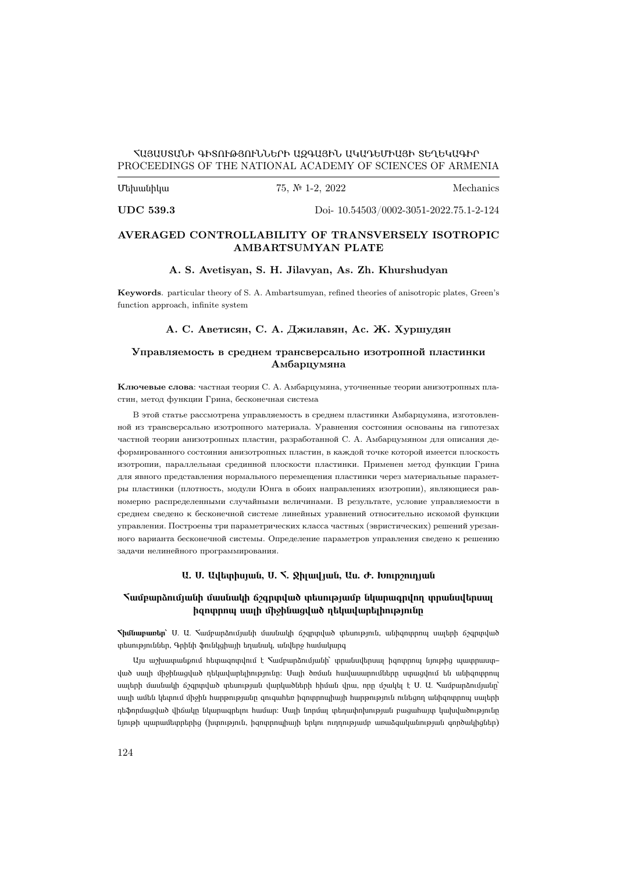### ՀԱՅԱՍՏԱՆԻ ԳԻՏՈՒԹՅՈՒՆՆԵՐԻ ԱԶԳԱՅԻՆ ԱԿԱԴԵՄԻԱՅԻ ՏԵՂԵԿԱԳԻՐ PROCEEDINGS OF THE NATIONAL ACADEMY OF SCIENCES OF ARMENIA

### $U$ երանիկա 75, №  $I-2$ , 2022 Mechanics

UDC 539.3 [Doi- 10.54503/0002-3051-2022.75.1-2-124](https://doi.org/10.54503/0002-3051-2022.75.1-2-124)

### AVERAGED CONTROLLABILITY OF TRANSVERSELY ISOTROPIC AMBARTSUMYAN PLATE

### A. S. Avetisyan, S. H. Jilavyan, As. Zh. Khurshudyan

Keywords. particular theory of S. A. Ambartsumyan, refined theories of anisotropic plates, Green's function approach, infinite system

### А. С. Аветисян, С. А. Джилавян, Ас. Ж. Хуршудян

### Управляемость в среднем трансверсально изотропной пластинки Амбарцумяна

Ключевые слова: частная теория С. А. Амбарцумяна, уточненные теории анизотропных пластин, метод функции Грина, бесконечная система

В этой статье рассмотрена управляемость в среднем пластинки Амбарцумяна, изготовленной из трансверсально изотропного материала. Уравнения состояния основаны на гипотезах частной теории анизотропных пластин, разработанной С. А. Амбарцумяном для описания деформированного состояния анизотропных пластин, в каждой точке которой имеется плоскость изотропии, параллельная срединной плоскости пластинки. Применен метод функции Грина для явного представления нормального перемещения пластинки через материальные параметры пластинки (плотность, модули Юнга в обоих направлениях изотропии), являющиеся равномерно распределенными случайными величинами. В результате, условие управляемости в среднем сведено к бесконечной системе линейных уравнений относительно искомой функции управления. Построены три параметрических класса частных (эвристических) решений урезанного варианта бесконечной системы. Определение параметров управления сведено к решению задачи нелинейного программирования.

#### Ա. Ս. Ավետիսյան, Ս. Հ. Ջիլավյան, Աս. Ժ. Խուրշուդյան

### Համբարձումյանի մասնակի ճշգրտված տեսությամբ նկարագրվող տրանսվերսալ իզոտրոպ սալի միջինացված ղեկավարելիությունը

Հիմնաբառեր՝ Ս. Ա. Համբարձումյանի մասնակի ճշգրտված տեսություն, անիզոտրոպ սալերի ճշգրտված տեսություններ, Գրինի ֆունկցիայի եղանակ, անվերջ համակարգ

Այս աշխատանքում հետազոտվում է Համբարձումյանի՝ տրանսվերսալ իզոտրոպ նյութից պատրաստ֊ ված սալի միջինացված ղեկավարելիությունը։ Սալի ծռման հավասարումները ստացվում են անիզոտրոպ սալերի մասնակի ճշգրտված տեսության վարկածների հիման վրա, որը մշակել է Ս. Ա. Համբարձումյանը՝ սալի ամեն կետում միջին հարթությանը զուգահեռ իզոտրոպիայի հարթություն ունեցող անիզոտրոպ սալերի դեֆորմացված վիճակը նկարագրելու համար։ Սալի նորմալ տեղափոխության բացահայտ կախվածությունը նյութի պարամետրերից (խտություն, իզոտրոպիայի երկու ուղղությամբ առաձգականության գործակիցներ)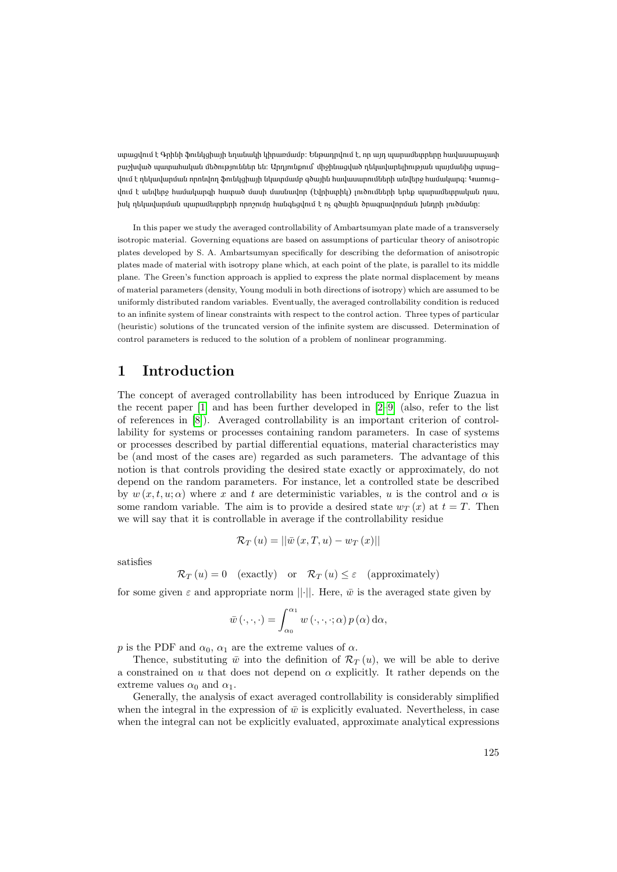ստացվում է Գրինի ֆունկցիայի եղանակի կիրառմամբ։ Ենթադրվում է, որ այդ պարամետրերը հավասարաչափ բաշխված պատահական մեծություններ են։ Արդյունքում՝ միջինացված ղեկավարելիության պայմանից ստաց– վում է ղեկավարման որոնվող ֆունկցիայի նկատմամբ գծային հավասարումների անվերջ համակարգ։ Կառուց– վում է անվերջ համակարգի հատած մասի մասնավոր (էվրիստիկ) լուծումների երեք պարամետրական դաս, իսկ ղեկավարման պարամետրերի որոշումը հանգեցվում է ոչ գծային ծրագրավորման խնդրի լուծմանը։

In this paper we study the averaged controllability of Ambartsumyan plate made of a transversely isotropic material. Governing equations are based on assumptions of particular theory of anisotropic plates developed by S. A. Ambartsumyan specifically for describing the deformation of anisotropic plates made of material with isotropy plane which, at each point of the plate, is parallel to its middle plane. The Green's function approach is applied to express the plate normal displacement by means of material parameters (density, Young moduli in both directions of isotropy) which are assumed to be uniformly distributed random variables. Eventually, the averaged controllability condition is reduced to an infinite system of linear constraints with respect to the control action. Three types of particular (heuristic) solutions of the truncated version of the infinite system are discussed. Determination of control parameters is reduced to the solution of a problem of nonlinear programming.

## 1 Introduction

The concept of averaged controllability has been introduced by Enrique Zuazua in the recent paper [\[1\]](#page-10-0) and has been further developed in [\[2](#page-10-1)[–9\]](#page-10-2) (also, refer to the list of references in [\[8\]](#page-10-3)). Averaged controllability is an important criterion of controllability for systems or processes containing random parameters. In case of systems or processes described by partial differential equations, material characteristics may be (and most of the cases are) regarded as such parameters. The advantage of this notion is that controls providing the desired state exactly or approximately, do not depend on the random parameters. For instance, let a controlled state be described by  $w(x, t, u; \alpha)$  where x and t are deterministic variables, u is the control and  $\alpha$  is some random variable. The aim is to provide a desired state  $w_T(x)$  at  $t = T$ . Then we will say that it is controllable in average if the controllability residue

$$
\mathcal{R}_T(u) = ||\bar{w}(x,T,u) - w_T(x)||
$$

satisfies

$$
\mathcal{R}_T(u) = 0 \quad \text{(exactly)} \quad \text{or} \quad \mathcal{R}_T(u) \le \varepsilon \quad \text{(approximately)}
$$

for some given  $\varepsilon$  and appropriate norm  $||\cdot||$ . Here,  $\bar{w}$  is the averaged state given by

$$
\bar{w}(\cdot,\cdot,\cdot)=\int_{\alpha_0}^{\alpha_1}w(\cdot,\cdot,\cdot;\alpha)p(\alpha)\,\mathrm{d}\alpha,
$$

p is the PDF and  $\alpha_0$ ,  $\alpha_1$  are the extreme values of  $\alpha$ .

Thence, substituting  $\bar{w}$  into the definition of  $\mathcal{R}_{T}(u)$ , we will be able to derive a constrained on u that does not depend on  $\alpha$  explicitly. It rather depends on the extreme values  $\alpha_0$  and  $\alpha_1$ .

Generally, the analysis of exact averaged controllability is considerably simplified when the integral in the expression of  $\bar{w}$  is explicitly evaluated. Nevertheless, in case when the integral can not be explicitly evaluated, approximate analytical expressions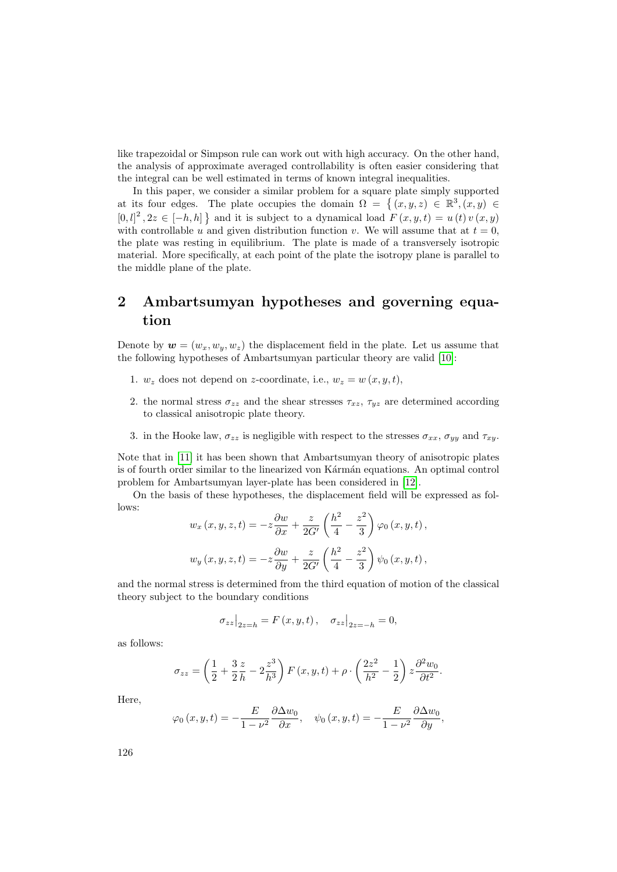like trapezoidal or Simpson rule can work out with high accuracy. On the other hand, the analysis of approximate averaged controllability is often easier considering that the integral can be well estimated in terms of known integral inequalities.

In this paper, we consider a similar problem for a square plate simply supported at its four edges. The plate occupies the domain  $\Omega = \{ (x, y, z) \in \mathbb{R}^3, (x, y) \in$  $[0, l]^2$ ,  $2z \in [-h, h]$  and it is subject to a dynamical load  $F(x, y, t) = u(t) v(x, y)$ with controllable u and given distribution function v. We will assume that at  $t = 0$ , the plate was resting in equilibrium. The plate is made of a transversely isotropic material. More specifically, at each point of the plate the isotropy plane is parallel to the middle plane of the plate.

# 2 Ambartsumyan hypotheses and governing equation

Denote by  $\mathbf{w} = (w_x, w_y, w_z)$  the displacement field in the plate. Let us assume that the following hypotheses of Ambartsumyan particular theory are valid [\[10\]](#page-10-4):

- 1.  $w_z$  does not depend on z-coordinate, i.e.,  $w_z = w(x, y, t)$ ,
- 2. the normal stress  $\sigma_{zz}$  and the shear stresses  $\tau_{xz}$ ,  $\tau_{yz}$  are determined according to classical anisotropic plate theory.
- 3. in the Hooke law,  $\sigma_{zz}$  is negligible with respect to the stresses  $\sigma_{xx}$ ,  $\sigma_{yy}$  and  $\tau_{xy}$ .

Note that in [\[11\]](#page-10-5) it has been shown that Ambartsumyan theory of anisotropic plates is of fourth order similar to the linearized von Kármán equations. An optimal control problem for Ambartsumyan layer-plate has been considered in [\[12\]](#page-10-6).

On the basis of these hypotheses, the displacement field will be expressed as follows:

$$
w_x(x, y, z, t) = -z\frac{\partial w}{\partial x} + \frac{z}{2G'}\left(\frac{h^2}{4} - \frac{z^2}{3}\right)\varphi_0(x, y, t),
$$
  

$$
w_y(x, y, z, t) = -z\frac{\partial w}{\partial y} + \frac{z}{2G'}\left(\frac{h^2}{4} - \frac{z^2}{3}\right)\psi_0(x, y, t),
$$

and the normal stress is determined from the third equation of motion of the classical theory subject to the boundary conditions

$$
\sigma_{zz}\big|_{2z=h} = F(x, y, t), \quad \sigma_{zz}\big|_{2z=-h} = 0,
$$

as follows:

$$
\sigma_{zz} = \left(\frac{1}{2} + \frac{3}{2}\frac{z}{h} - 2\frac{z^3}{h^3}\right) F(x, y, t) + \rho \cdot \left(\frac{2z^2}{h^2} - \frac{1}{2}\right) z \frac{\partial^2 w_0}{\partial t^2}.
$$

Here,

$$
\varphi_0(x, y, t) = -\frac{E}{1 - \nu^2} \frac{\partial \Delta w_0}{\partial x}, \quad \psi_0(x, y, t) = -\frac{E}{1 - \nu^2} \frac{\partial \Delta w_0}{\partial y},
$$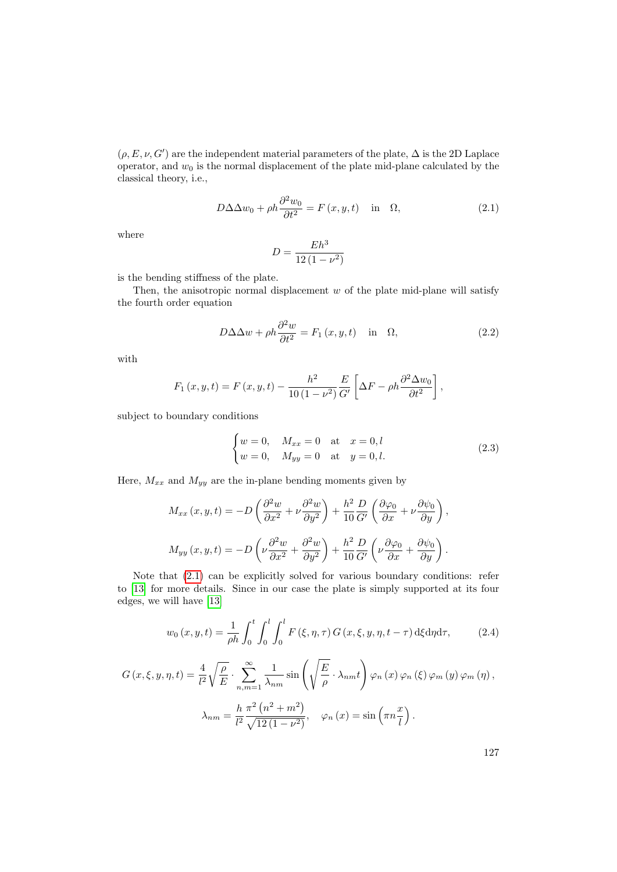$(\rho, E, \nu, G')$  are the independent material parameters of the plate,  $\Delta$  is the 2D Laplace operator, and  $w_0$  is the normal displacement of the plate mid-plane calculated by the classical theory, i.e.,

<span id="page-3-0"></span>
$$
D\Delta\Delta w_0 + \rho h \frac{\partial^2 w_0}{\partial t^2} = F(x, y, t) \quad \text{in} \quad \Omega,
$$
\n(2.1)

where

$$
D = \frac{Eh^3}{12\left(1 - \nu^2\right)}
$$

is the bending stiffness of the plate.

Then, the anisotropic normal displacement  $w$  of the plate mid-plane will satisfy the fourth order equation

<span id="page-3-1"></span>
$$
D\Delta\Delta w + \rho h \frac{\partial^2 w}{\partial t^2} = F_1(x, y, t) \quad \text{in} \quad \Omega,
$$
\n(2.2)

with

$$
F_1(x, y, t) = F(x, y, t) - \frac{h^2}{10(1 - \nu^2)} \frac{E}{G'} \left[ \Delta F - \rho h \frac{\partial^2 \Delta w_0}{\partial t^2} \right],
$$

subject to boundary conditions

<span id="page-3-2"></span>
$$
\begin{cases} w = 0, & M_{xx} = 0 \text{ at } x = 0, l \\ w = 0, & M_{yy} = 0 \text{ at } y = 0, l. \end{cases}
$$
 (2.3)

Here,  $M_{xx}$  and  $M_{yy}$  are the in-plane bending moments given by

$$
M_{xx}(x, y, t) = -D\left(\frac{\partial^2 w}{\partial x^2} + \nu \frac{\partial^2 w}{\partial y^2}\right) + \frac{h^2}{10} \frac{D}{G'}\left(\frac{\partial \varphi_0}{\partial x} + \nu \frac{\partial \psi_0}{\partial y}\right),
$$
  

$$
M_{yy}(x, y, t) = -D\left(\nu \frac{\partial^2 w}{\partial x^2} + \frac{\partial^2 w}{\partial y^2}\right) + \frac{h^2}{10} \frac{D}{G'}\left(\nu \frac{\partial \varphi_0}{\partial x} + \frac{\partial \psi_0}{\partial y}\right).
$$

Note that [\(2.1\)](#page-3-0) can be explicitly solved for various boundary conditions: refer to [\[13\]](#page-10-7) for more details. Since in our case the plate is simply supported at its four edges, we will have [\[13\]](#page-10-7)

$$
w_0(x, y, t) = \frac{1}{\rho h} \int_0^t \int_0^l \int_0^l F(\xi, \eta, \tau) G(x, \xi, y, \eta, t - \tau) d\xi d\eta d\tau, \qquad (2.4)
$$

$$
G(x,\xi,y,\eta,t) = \frac{4}{l^2} \sqrt{\frac{\rho}{E}} \cdot \sum_{n,m=1}^{\infty} \frac{1}{\lambda_{nm}} \sin\left(\sqrt{\frac{E}{\rho}} \cdot \lambda_{nm}t\right) \varphi_n(x) \varphi_n(\xi) \varphi_m(y) \varphi_m(\eta),
$$

$$
\lambda_{nm} = \frac{h}{l^2} \frac{\pi^2 (n^2 + m^2)}{\sqrt{12(1 - \nu^2)}}, \quad \varphi_n(x) = \sin\left(\pi n \frac{x}{l}\right).
$$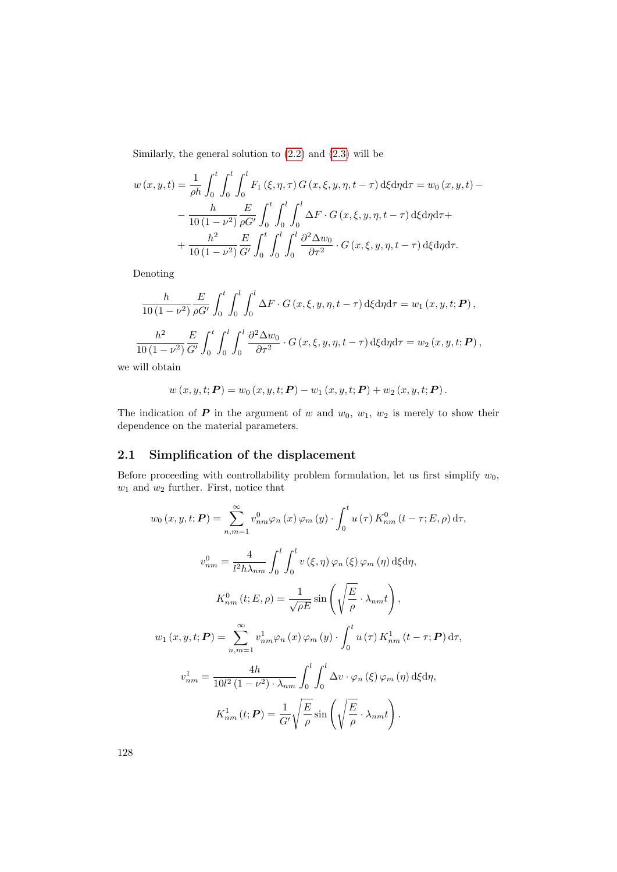Similarly, the general solution to  $(2.2)$  and  $(2.3)$  will be

$$
w(x, y, t) = \frac{1}{\rho h} \int_0^t \int_0^l \int_0^l F_1(\xi, \eta, \tau) G(x, \xi, y, \eta, t - \tau) d\xi d\eta d\tau = w_0(x, y, t) - \frac{h}{10(1 - \nu^2)} \frac{E}{\rho G'} \int_0^t \int_0^l \int_0^l \Delta F \cdot G(x, \xi, y, \eta, t - \tau) d\xi d\eta d\tau + \frac{h^2}{10(1 - \nu^2)} \frac{E}{G'} \int_0^t \int_0^l \int_0^l \frac{\partial^2 \Delta w_0}{\partial \tau^2} \cdot G(x, \xi, y, \eta, t - \tau) d\xi d\eta d\tau.
$$

Denoting

$$
\frac{h}{10(1-\nu^2)} \frac{E}{\rho G'} \int_0^t \int_0^l \int_0^l \Delta F \cdot G(x,\xi,y,\eta,t-\tau) \,d\xi d\eta d\tau = w_1(x,y,t;\boldsymbol{P})\,,
$$

$$
\frac{h^2}{10(1-\nu^2)} \frac{E}{G'} \int_0^t \int_0^l \int_0^l \frac{\partial^2 \Delta w_0}{\partial \tau^2} \cdot G(x,\xi,y,\eta,t-\tau) \,d\xi d\eta d\tau = w_2(x,y,t;\boldsymbol{P})\,,
$$

we will obtain

$$
w(x, y, t; P) = w_0(x, y, t; P) - w_1(x, y, t; P) + w_2(x, y, t; P).
$$

The indication of  $P$  in the argument of w and  $w_0$ ,  $w_1$ ,  $w_2$  is merely to show their dependence on the material parameters.

## 2.1 Simplification of the displacement

Before proceeding with controllability problem formulation, let us first simplify  $w_0$ ,  $w_1$  and  $w_2$  further. First, notice that

$$
w_0(x, y, t; \mathbf{P}) = \sum_{n,m=1}^{\infty} v_{nm}^0 \varphi_n(x) \varphi_m(y) \cdot \int_0^t u(\tau) K_{nm}^0(t - \tau; E, \rho) d\tau,
$$
  

$$
v_{nm}^0 = \frac{4}{l^2 h \lambda_{nm}} \int_0^l \int_0^l v(\xi, \eta) \varphi_n(\xi) \varphi_m(\eta) d\xi d\eta,
$$
  

$$
K_{nm}^0(t; E, \rho) = \frac{1}{\sqrt{\rho E}} \sin\left(\sqrt{\frac{E}{\rho}} \cdot \lambda_{nm} t\right),
$$
  

$$
w_1(x, y, t; \mathbf{P}) = \sum_{n,m=1}^{\infty} v_{nm}^1 \varphi_n(x) \varphi_m(y) \cdot \int_0^t u(\tau) K_{nm}^1(t - \tau; \mathbf{P}) d\tau,
$$
  

$$
v_{nm}^1 = \frac{4h}{10l^2(1 - \nu^2) \cdot \lambda_{nm}} \int_0^l \int_0^l \Delta v \cdot \varphi_n(\xi) \varphi_m(\eta) d\xi d\eta,
$$
  

$$
K_{nm}^1(t; \mathbf{P}) = \frac{1}{G'} \sqrt{\frac{E}{\rho}} \sin\left(\sqrt{\frac{E}{\rho}} \cdot \lambda_{nm} t\right).
$$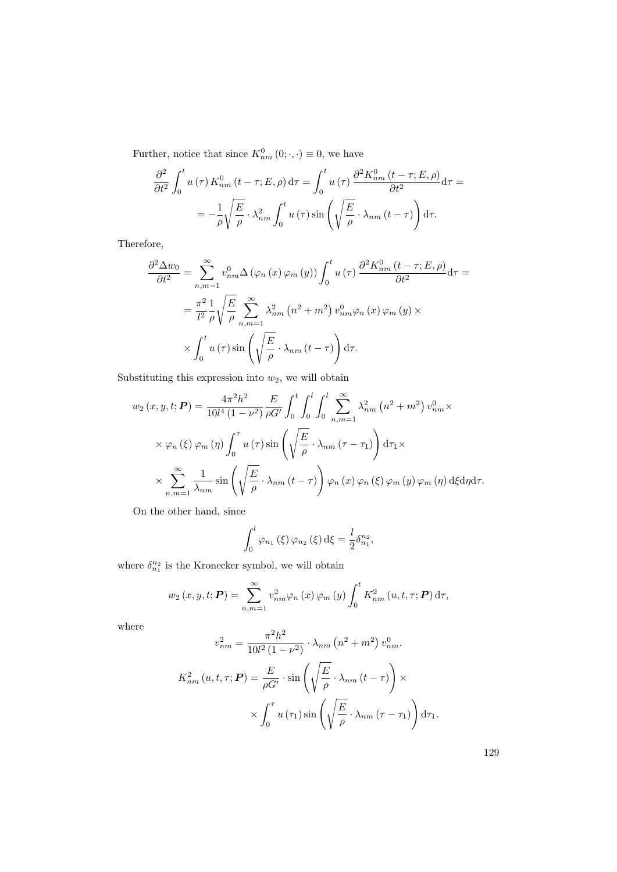Further, notice that since  $K_{nm}^0(0; \cdot, \cdot) \equiv 0$ , we have

$$
\frac{\partial^2}{\partial t^2} \int_0^t u(\tau) K_{nm}^0(t - \tau; E, \rho) d\tau = \int_0^t u(\tau) \frac{\partial^2 K_{nm}^0(t - \tau; E, \rho)}{\partial t^2} d\tau =
$$
  
= 
$$
- \frac{1}{\rho} \sqrt{\frac{E}{\rho}} \cdot \lambda_{nm}^2 \int_0^t u(\tau) \sin\left(\sqrt{\frac{E}{\rho}} \cdot \lambda_{nm}(t - \tau)\right) d\tau.
$$

Therefore,

$$
\frac{\partial^2 \Delta w_0}{\partial t^2} = \sum_{n,m=1}^{\infty} v_{nm}^0 \Delta (\varphi_n (x) \varphi_m (y)) \int_0^t u(\tau) \frac{\partial^2 K_{nm}^0(t-\tau;E,\rho)}{\partial t^2} d\tau =
$$
  

$$
= \frac{\pi^2}{l^2} \frac{1}{\rho} \sqrt{\frac{E}{\rho}} \sum_{n,m=1}^{\infty} \lambda_{nm}^2 (n^2 + m^2) v_{nm}^0 \varphi_n (x) \varphi_m (y) \times
$$
  

$$
\times \int_0^t u(\tau) \sin \left( \sqrt{\frac{E}{\rho}} \cdot \lambda_{nm} (t-\tau) \right) d\tau.
$$

Substituting this expression into  $w_2$ , we will obtain

$$
w_2(x, y, t; \mathbf{P}) = \frac{4\pi^2 h^2}{10l^4 (1 - \nu^2)} \frac{E}{\rho G'} \int_0^t \int_0^l \int_0^l \sum_{n, m = 1}^\infty \lambda_{nm}^2 (n^2 + m^2) v_{nm}^0 \times
$$
  
 
$$
\times \varphi_n(\xi) \varphi_m(\eta) \int_0^\tau u(\tau) \sin\left(\sqrt{\frac{E}{\rho}} \cdot \lambda_{nm} (\tau - \tau_1)\right) d\tau_1 \times
$$
  
 
$$
\times \sum_{n, m = 1}^\infty \frac{1}{\lambda_{nm}} \sin\left(\sqrt{\frac{E}{\rho}} \cdot \lambda_{nm} (t - \tau)\right) \varphi_n(x) \varphi_n(\xi) \varphi_m(\eta) \varphi_m(\eta) d\xi d\eta d\tau.
$$

On the other hand, since

$$
\int_0^l \varphi_{n_1}(\xi) \varphi_{n_2}(\xi) d\xi = \frac{l}{2} \delta_{n_1}^{n_2},
$$

where  $\delta_{n_1}^{n_2}$  is the Kronecker symbol, we will obtain

$$
w_2(x, y, t; \mathbf{P}) = \sum_{n,m=1}^{\infty} v_{nm}^2 \varphi_n(x) \varphi_m(y) \int_0^t K_{nm}^2(u, t, \tau; \mathbf{P}) d\tau,
$$

where

$$
v_{nm}^2 = \frac{\pi^2 h^2}{10l^2 (1 - \nu^2)} \cdot \lambda_{nm} (n^2 + m^2) v_{nm}^0.
$$
  

$$
K_{nm}^2 (u, t, \tau; \mathbf{P}) = \frac{E}{\rho G'} \cdot \sin\left(\sqrt{\frac{E}{\rho}} \cdot \lambda_{nm} (t - \tau)\right) \times
$$

$$
\times \int_0^{\tau} u(\tau_1) \sin\left(\sqrt{\frac{E}{\rho}} \cdot \lambda_{nm} (\tau - \tau_1)\right) d\tau_1.
$$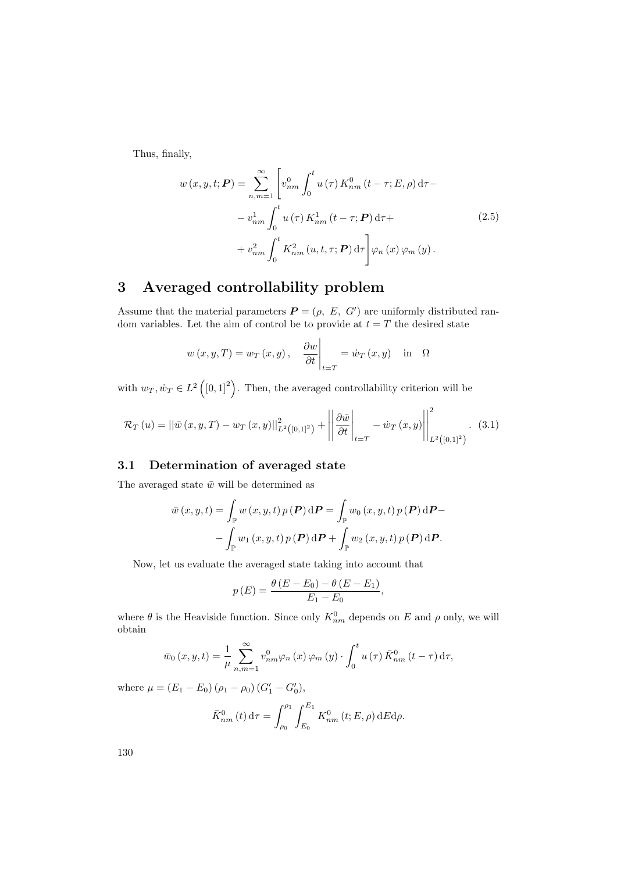Thus, finally,

$$
w(x, y, t; \mathbf{P}) = \sum_{n,m=1}^{\infty} \left[ v_{nm}^{0} \int_{0}^{t} u(\tau) K_{nm}^{0}(t - \tau; E, \rho) d\tau - \right. \\
\left. - v_{nm}^{1} \int_{0}^{t} u(\tau) K_{nm}^{1}(t - \tau; \mathbf{P}) d\tau + \right. \\
\left. + v_{nm}^{2} \int_{0}^{t} K_{nm}^{2}(u, t, \tau; \mathbf{P}) d\tau \right] \varphi_{n}(x) \varphi_{m}(y).
$$
\n(2.5)

## 3 Averaged controllability problem

Assume that the material parameters  $\boldsymbol{P} = (\rho, E, G')$  are uniformly distributed random variables. Let the aim of control be to provide at  $t = T$  the desired state

$$
w(x, y, T) = w_T(x, y), \quad \frac{\partial w}{\partial t}\Big|_{t=T} = \dot{w}_T(x, y) \quad \text{in} \quad \Omega
$$

with  $w_T, \dot{w}_T \in L^2([0,1]^2)$ . Then, the averaged controllability criterion will be

<span id="page-6-0"></span>
$$
\mathcal{R}_T(u) = ||\bar{w}(x, y, T) - w_T(x, y)||_{L^2([0, 1]^2)}^2 + \left\| \frac{\partial \bar{w}}{\partial t} \right\|_{t=T} - \dot{w}_T(x, y) \left\| \int_{L^2([0, 1]^2)}^2 (3.1)
$$

## 3.1 Determination of averaged state

The averaged state  $\bar{w}$  will be determined as

$$
\bar{w}(x, y, t) = \int_{\mathbb{P}} w(x, y, t) p(\boldsymbol{P}) d\boldsymbol{P} = \int_{\mathbb{P}} w_0(x, y, t) p(\boldsymbol{P}) d\boldsymbol{P} - \int_{\mathbb{P}} w_1(x, y, t) p(\boldsymbol{P}) d\boldsymbol{P} + \int_{\mathbb{P}} w_2(x, y, t) p(\boldsymbol{P}) d\boldsymbol{P}.
$$

Now, let us evaluate the averaged state taking into account that

$$
p(E) = \frac{\theta(E - E_0) - \theta(E - E_1)}{E_1 - E_0},
$$

where  $\theta$  is the Heaviside function. Since only  $K_{nm}^0$  depends on E and  $\rho$  only, we will obtain

$$
\bar{w}_0(x, y, t) = \frac{1}{\mu} \sum_{n,m=1}^{\infty} v_{nm}^0 \varphi_n(x) \varphi_m(y) \cdot \int_0^t u(\tau) \bar{K}_{nm}^0(t - \tau) d\tau,
$$

where  $\mu = (E_1 - E_0) (\rho_1 - \rho_0) (G'_1 - G'_0),$ 

$$
\bar{K}_{nm}^{0}(t) d\tau = \int_{\rho_0}^{\rho_1} \int_{E_0}^{E_1} K_{nm}^{0}(t; E, \rho) dE d\rho.
$$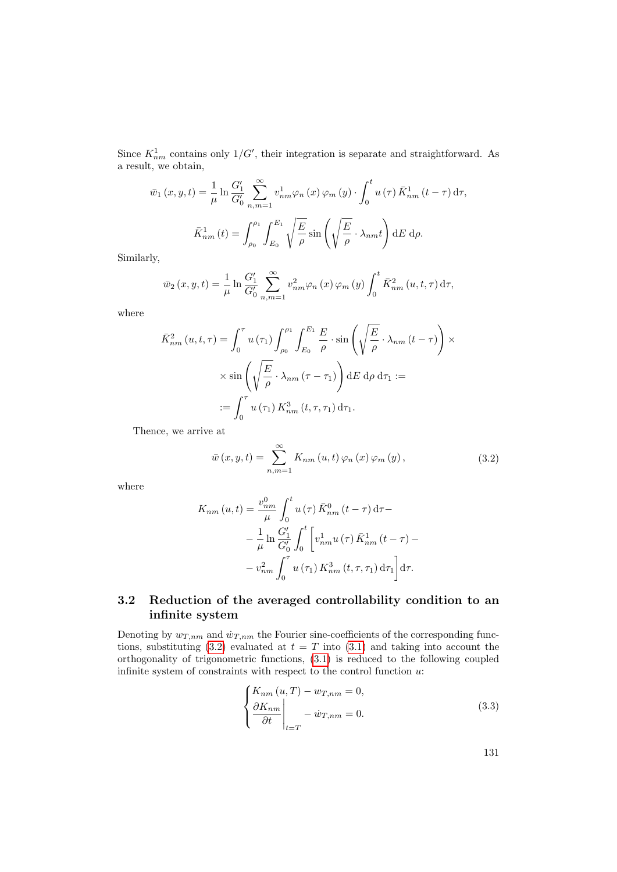Since  $K_{nm}^1$  contains only  $1/G'$ , their integration is separate and straightforward. As a result, we obtain,

$$
\bar{w}_1(x, y, t) = \frac{1}{\mu} \ln \frac{G_1'}{G_0'} \sum_{n,m=1}^{\infty} v_{nm}^1 \varphi_n(x) \varphi_m(y) \cdot \int_0^t u(\tau) \bar{K}_{nm}^1(t - \tau) d\tau,
$$
  

$$
\bar{K}_{nm}^1(t) = \int_{\rho_0}^{\rho_1} \int_{E_0}^{E_1} \sqrt{\frac{E}{\rho}} \sin\left(\sqrt{\frac{E}{\rho}} \cdot \lambda_{nm} t\right) dE d\rho.
$$

Similarly,

$$
\bar{w}_2(x, y, t) = \frac{1}{\mu} \ln \frac{G_1'}{G_0'} \sum_{n,m=1}^{\infty} v_{nm}^2 \varphi_n(x) \varphi_m(y) \int_0^t \bar{K}_{nm}^2(u, t, \tau) d\tau,
$$

where

$$
\bar{K}_{nm}^{2}(u,t,\tau) = \int_{0}^{\tau} u(\tau_{1}) \int_{\rho_{0}}^{\rho_{1}} \int_{E_{0}}^{E_{1}} \frac{E}{\rho} \cdot \sin\left(\sqrt{\frac{E}{\rho}} \cdot \lambda_{nm}(t-\tau)\right) \times \sin\left(\sqrt{\frac{E}{\rho}} \cdot \lambda_{nm}(\tau-\tau_{1})\right) dE d\rho d\tau_{1} :=
$$

$$
:= \int_{0}^{\tau} u(\tau_{1}) K_{nm}^{3}(t,\tau,\tau_{1}) d\tau_{1}.
$$

<span id="page-7-0"></span>Thence, we arrive at

$$
\bar{w}(x, y, t) = \sum_{n,m=1}^{\infty} K_{nm}(u, t) \varphi_n(x) \varphi_m(y), \qquad (3.2)
$$

where

$$
K_{nm}(u,t) = \frac{v_{nm}^0}{\mu} \int_0^t u(\tau) \bar{K}_{nm}^0(t-\tau) d\tau -
$$
  

$$
- \frac{1}{\mu} \ln \frac{G_1'}{G_0'} \int_0^t \left[ v_{nm}^1 u(\tau) \bar{K}_{nm}^1(t-\tau) -
$$
  

$$
- v_{nm}^2 \int_0^{\tau} u(\tau_1) K_{nm}^3(t,\tau,\tau_1) d\tau_1 \right] d\tau.
$$

## 3.2 Reduction of the averaged controllability condition to an infinite system

Denoting by  $w_{T,nm}$  and  $\dot{w}_{T,nm}$  the Fourier sine-coefficients of the corresponding func-tions, substituting [\(3.2\)](#page-7-0) evaluated at  $t = T$  into [\(3.1\)](#page-6-0) and taking into account the orthogonality of trigonometric functions, [\(3.1\)](#page-6-0) is reduced to the following coupled infinite system of constraints with respect to the control function  $u$ :

<span id="page-7-1"></span>
$$
\begin{cases}\nK_{nm}(u,T) - w_{T,nm} = 0, \\
\frac{\partial K_{nm}}{\partial t}\Big|_{t=T} - \dot{w}_{T,nm} = 0.\n\end{cases}
$$
\n(3.3)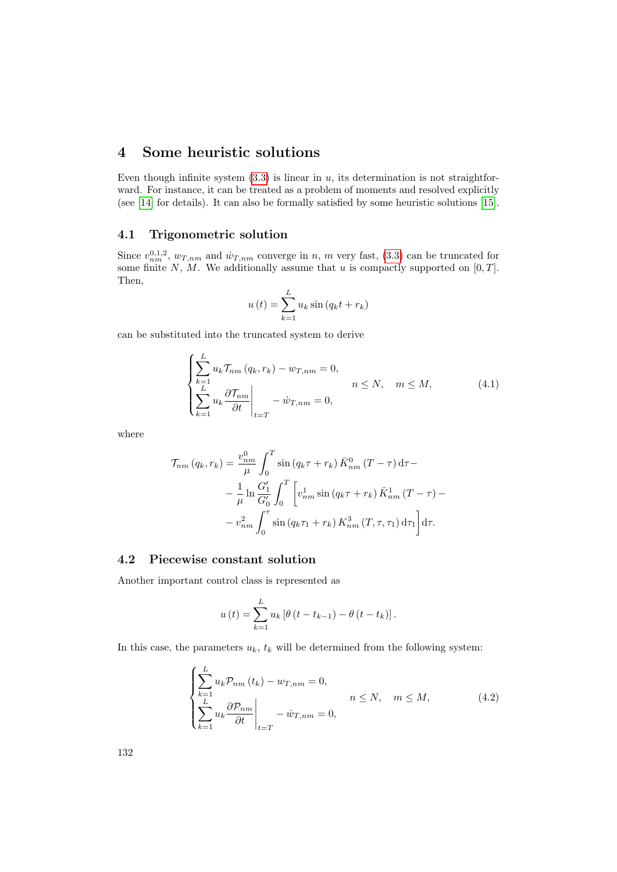## 4 Some heuristic solutions

Even though infinite system  $(3.3)$  is linear in u, its determination is not straightforward. For instance, it can be treated as a problem of moments and resolved explicitly (see [\[14\]](#page-11-0) for details). It can also be formally satisfied by some heuristic solutions [\[15\]](#page-11-1).

### 4.1 Trigonometric solution

Since  $v_{nm}^{0,1,2}$ ,  $w_{T,nm}$  and  $\dot{w}_{T,nm}$  converge in n, m very fast, [\(3.3\)](#page-7-1) can be truncated for some finite N, M. We additionally assume that u is compactly supported on  $[0, T]$ . Then,

$$
u(t) = \sum_{k=1}^{L} u_k \sin (q_k t + r_k)
$$

can be substituted into the truncated system to derive

<span id="page-8-0"></span>
$$
\begin{cases}\n\sum_{k=1}^{L} u_k \mathcal{T}_{nm}(q_k, r_k) - w_{T,nm} = 0, \\
\sum_{k=1}^{L} u_k \frac{\partial \mathcal{T}_{nm}}{\partial t} \Big|_{t=T} - \dot{w}_{T,nm} = 0, \\
\end{cases} \quad n \le N, \quad m \le M,
$$
\n(4.1)

where

$$
\mathcal{T}_{nm}(q_k, r_k) = \frac{v_{nm}^0}{\mu} \int_0^T \sin(q_k \tau + r_k) \, \bar{K}_{nm}^0(T - \tau) \, d\tau -
$$

$$
- \frac{1}{\mu} \ln \frac{G_1'}{G_0'} \int_0^T \left[ v_{nm}^1 \sin(q_k \tau + r_k) \, \bar{K}_{nm}^1(T - \tau) -
$$

$$
- v_{nm}^2 \int_0^{\tau} \sin(q_k \tau_1 + r_k) \, K_{nm}^3(T, \tau, \tau_1) \, d\tau_1 \right] d\tau.
$$

### 4.2 Piecewise constant solution

Another important control class is represented as

$$
u(t) = \sum_{k=1}^{L} u_k [\theta (t - t_{k-1}) - \theta (t - t_k)].
$$

In this case, the parameters  $u_k$ ,  $t_k$  will be determined from the following system:

<span id="page-8-1"></span>
$$
\begin{cases}\n\sum_{k=1}^{L} u_k \mathcal{P}_{nm}(t_k) - w_{T,nm} = 0, \\
\sum_{k=1}^{L} u_k \frac{\partial \mathcal{P}_{nm}}{\partial t} \Big|_{t=T} - \dot{w}_{T,nm} = 0, \n\end{cases}
$$
\n $n \le N, \quad m \le M,$ \n
$$
(4.2)
$$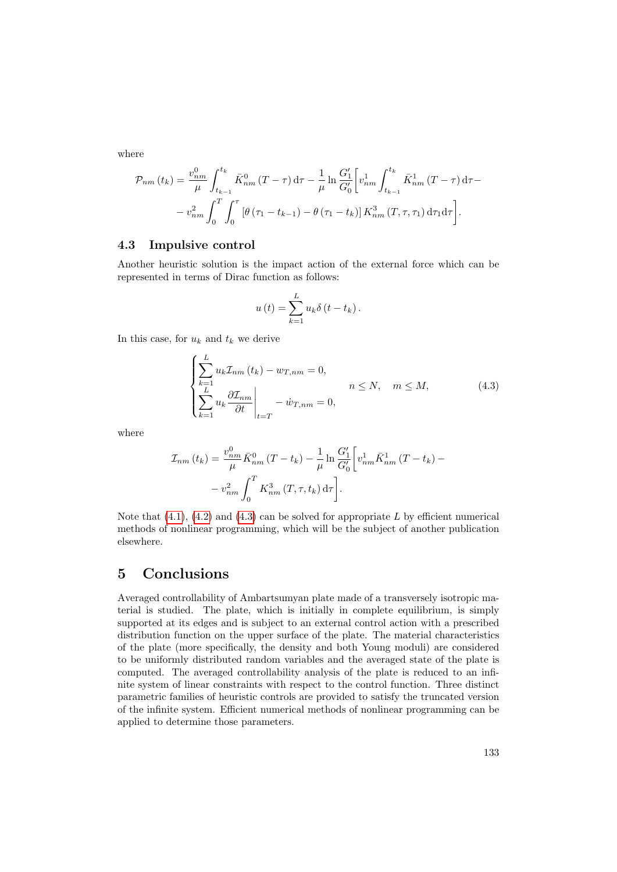where

$$
\mathcal{P}_{nm}(t_k) = \frac{v_{nm}^0}{\mu} \int_{t_{k-1}}^{t_k} \bar{K}_{nm}^0 (T - \tau) d\tau - \frac{1}{\mu} \ln \frac{G_1'}{G_0'} \left[ v_{nm}^1 \int_{t_{k-1}}^{t_k} \bar{K}_{nm}^1 (T - \tau) d\tau - v_{nm}^2 \int_0^T \int_0^{\tau} \left[ \theta \left( \tau_1 - t_{k-1} \right) - \theta \left( \tau_1 - t_k \right) \right] K_{nm}^3 (T, \tau, \tau_1) d\tau_1 d\tau \right].
$$

### 4.3 Impulsive control

Another heuristic solution is the impact action of the external force which can be represented in terms of Dirac function as follows:

$$
u(t) = \sum_{k=1}^{L} u_k \delta(t - t_k).
$$

In this case, for  $u_k$  and  $t_k$  we derive

<span id="page-9-0"></span>
$$
\begin{cases}\n\sum_{k=1}^{L} u_k \mathcal{I}_{nm}(t_k) - w_{T,nm} = 0, \\
\sum_{k=1}^{L} u_k \frac{\partial \mathcal{I}_{nm}}{\partial t} \Big|_{t=T} - \dot{w}_{T,nm} = 0, \n\end{cases} \quad n \le N, \quad m \le M,
$$
\n(4.3)

where

$$
\mathcal{I}_{nm}(t_k) = \frac{v_{nm}^0}{\mu} \bar{K}_{nm}^0 (T - t_k) - \frac{1}{\mu} \ln \frac{G_1'}{G_0'} \left[ v_{nm}^1 \bar{K}_{nm}^1 (T - t_k) - v_{nm}^2 \int_0^T K_{nm}^3 (T, \tau, t_k) d\tau \right].
$$

Note that  $(4.1)$ ,  $(4.2)$  and  $(4.3)$  can be solved for appropriate L by efficient numerical methods of nonlinear programming, which will be the subject of another publication elsewhere.

## 5 Conclusions

Averaged controllability of Ambartsumyan plate made of a transversely isotropic material is studied. The plate, which is initially in complete equilibrium, is simply supported at its edges and is subject to an external control action with a prescribed distribution function on the upper surface of the plate. The material characteristics of the plate (more specifically, the density and both Young moduli) are considered to be uniformly distributed random variables and the averaged state of the plate is computed. The averaged controllability analysis of the plate is reduced to an infinite system of linear constraints with respect to the control function. Three distinct parametric families of heuristic controls are provided to satisfy the truncated version of the infinite system. Efficient numerical methods of nonlinear programming can be applied to determine those parameters.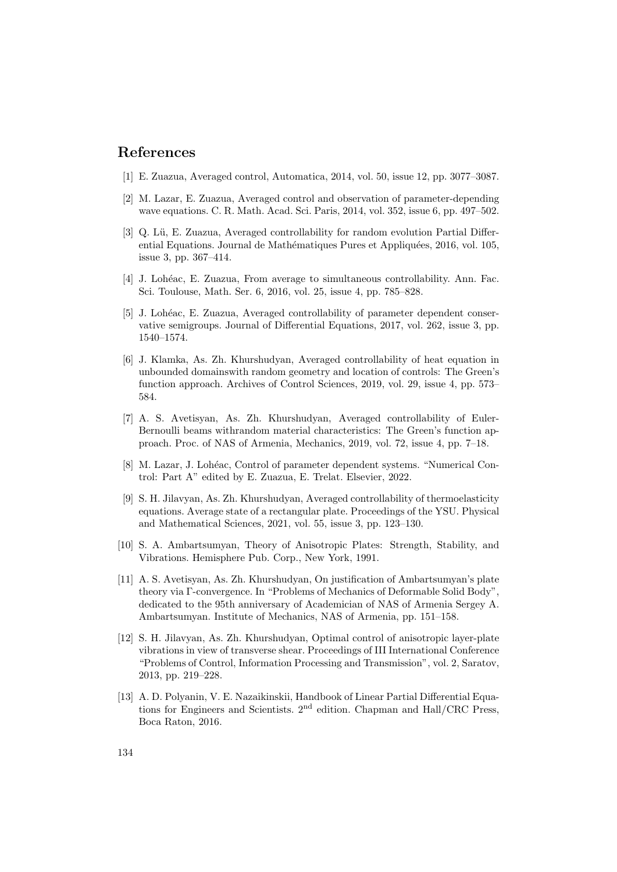## References

- <span id="page-10-0"></span>[1] E. Zuazua, Averaged control, Automatica, 2014, vol. 50, issue 12, pp. 3077–3087.
- <span id="page-10-1"></span>[2] M. Lazar, E. Zuazua, Averaged control and observation of parameter-depending wave equations. C. R. Math. Acad. Sci. Paris, 2014, vol. 352, issue 6, pp. 497–502.
- [3] Q. Lü, E. Zuazua, Averaged controllability for random evolution Partial Differential Equations. Journal de Mathématiques Pures et Appliquées, 2016, vol. 105, issue 3, pp. 367–414.
- [4] J. Lohéac, E. Zuazua, From average to simultaneous controllability. Ann. Fac. Sci. Toulouse, Math. Ser. 6, 2016, vol. 25, issue 4, pp. 785–828.
- [5] J. Lohéac, E. Zuazua, Averaged controllability of parameter dependent conservative semigroups. Journal of Differential Equations, 2017, vol. 262, issue 3, pp. 1540–1574.
- [6] J. Klamka, As. Zh. Khurshudyan, Averaged controllability of heat equation in unbounded domainswith random geometry and location of controls: The Green's function approach. Archives of Control Sciences, 2019, vol. 29, issue 4, pp. 573– 584.
- [7] A. S. Avetisyan, As. Zh. Khurshudyan, Averaged controllability of Euler-Bernoulli beams withrandom material characteristics: The Green's function approach. Proc. of NAS of Armenia, Mechanics, 2019, vol. 72, issue 4, pp. 7–18.
- <span id="page-10-3"></span>[8] M. Lazar, J. Lohéac, Control of parameter dependent systems. "Numerical Control: Part A" edited by E. Zuazua, E. Trelat. Elsevier, 2022.
- <span id="page-10-2"></span>[9] S. H. Jilavyan, As. Zh. Khurshudyan, Averaged controllability of thermoelasticity equations. Average state of a rectangular plate. Proceedings of the YSU. Physical and Mathematical Sciences, 2021, vol. 55, issue 3, pp. 123–130.
- <span id="page-10-4"></span>[10] S. A. Ambartsumyan, Theory of Anisotropic Plates: Strength, Stability, and Vibrations. Hemisphere Pub. Corp., New York, 1991.
- <span id="page-10-5"></span>[11] A. S. Avetisyan, As. Zh. Khurshudyan, On justification of Ambartsumyan's plate theory via Γ-convergence. In "Problems of Mechanics of Deformable Solid Body", dedicated to the 95th anniversary of Academician of NAS of Armenia Sergey A. Ambartsumyan. Institute of Mechanics, NAS of Armenia, pp. 151–158.
- <span id="page-10-6"></span>[12] S. H. Jilavyan, As. Zh. Khurshudyan, Optimal control of anisotropic layer-plate vibrations in view of transverse shear. Proceedings of III International Conference "Problems of Control, Information Processing and Transmission", vol. 2, Saratov, 2013, pp. 219–228.
- <span id="page-10-7"></span>[13] A. D. Polyanin, V. E. Nazaikinskii, Handbook of Linear Partial Differential Equations for Engineers and Scientists. 2nd edition. Chapman and Hall/CRC Press, Boca Raton, 2016.